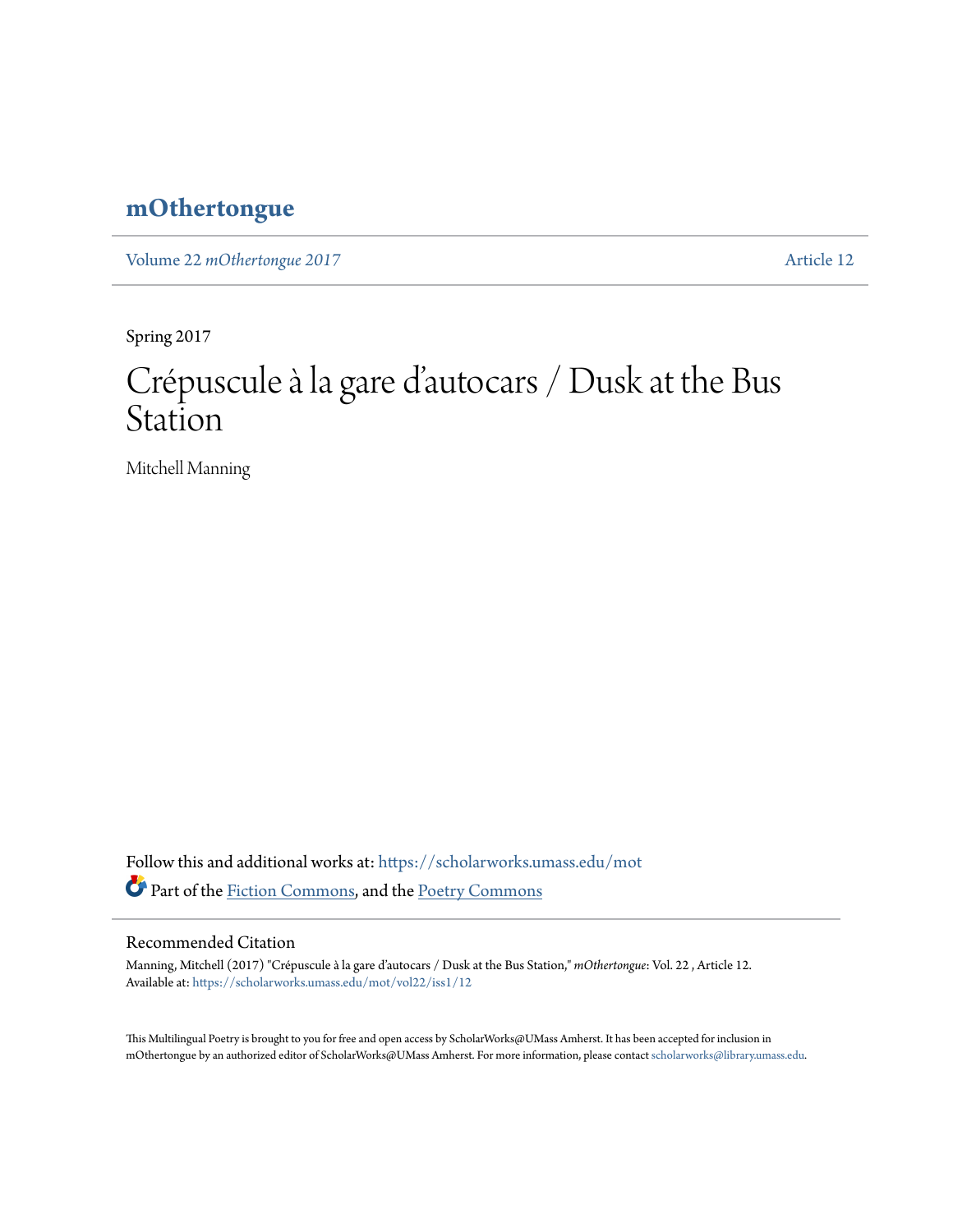## **[mOthertongue](https://scholarworks.umass.edu/mot?utm_source=scholarworks.umass.edu%2Fmot%2Fvol22%2Fiss1%2F12&utm_medium=PDF&utm_campaign=PDFCoverPages)**

Volume 22 *mOthertongue* 2017 [Article 12](https://scholarworks.umass.edu/mot/vol22/iss1/12?utm_source=scholarworks.umass.edu%2Fmot%2Fvol22%2Fiss1%2F12&utm_medium=PDF&utm_campaign=PDFCoverPages)

Spring 2017

# Crépuscule à la gare d' autocars / Dusk at the Bus Station

Mitchell Manning

Follow this and additional works at: [https://scholarworks.umass.edu/mot](https://scholarworks.umass.edu/mot?utm_source=scholarworks.umass.edu%2Fmot%2Fvol22%2Fiss1%2F12&utm_medium=PDF&utm_campaign=PDFCoverPages) Part of the [Fiction Commons](http://network.bepress.com/hgg/discipline/1151?utm_source=scholarworks.umass.edu%2Fmot%2Fvol22%2Fiss1%2F12&utm_medium=PDF&utm_campaign=PDFCoverPages), and the [Poetry Commons](http://network.bepress.com/hgg/discipline/1153?utm_source=scholarworks.umass.edu%2Fmot%2Fvol22%2Fiss1%2F12&utm_medium=PDF&utm_campaign=PDFCoverPages)

#### Recommended Citation

Manning, Mitchell (2017) "Crépuscule à la gare d'autocars / Dusk at the Bus Station," *mOthertongue*: Vol. 22 , Article 12. Available at: [https://scholarworks.umass.edu/mot/vol22/iss1/12](https://scholarworks.umass.edu/mot/vol22/iss1/12?utm_source=scholarworks.umass.edu%2Fmot%2Fvol22%2Fiss1%2F12&utm_medium=PDF&utm_campaign=PDFCoverPages)

This Multilingual Poetry is brought to you for free and open access by ScholarWorks@UMass Amherst. It has been accepted for inclusion in mOthertongue by an authorized editor of ScholarWorks@UMass Amherst. For more information, please contact [scholarworks@library.umass.edu](mailto:scholarworks@library.umass.edu).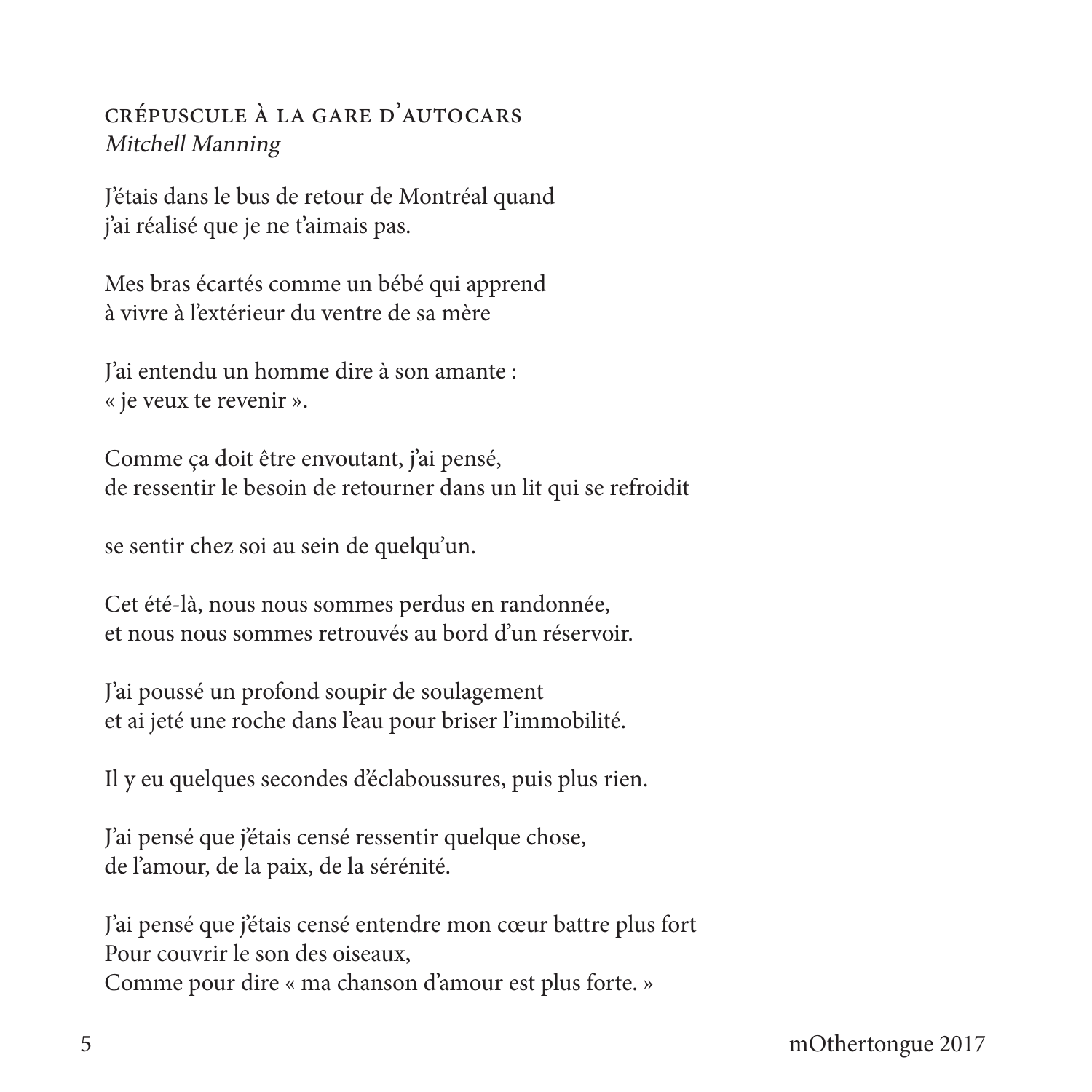### CRÉPUSCULE À LA GARE D'AUTOCARS Mitchell Manning

J'étais dans le bus de retour de Montréal quand j'ai réalisé que je ne t'aimais pas.

Mes bras écartés comme un bébé qui apprend à vivre à l'extérieur du ventre de sa mère

J'ai entendu un homme dire à son amante : « je veux te revenir ».

Comme ça doit être envoutant, j'ai pensé, de ressentir le besoin de retourner dans un lit qui se refroidit

se sentir chez soi au sein de quelqu'un.

Cet été-là, nous nous sommes perdus en randonnée, et nous nous sommes retrouvés au bord d'un réservoir.

J'ai poussé un profond soupir de soulagement et ai jeté une roche dans l'eau pour briser l'immobilité.

Il y eu quelques secondes d'éclaboussures, puis plus rien.

J'ai pensé que j'étais censé ressentir quelque chose, de l'amour, de la paix, de la sérénité.

J'ai pensé que j'étais censé entendre mon cœur battre plus fort Pour couvrir le son des oiseaux. Comme pour dire « ma chanson d'amour est plus forte. »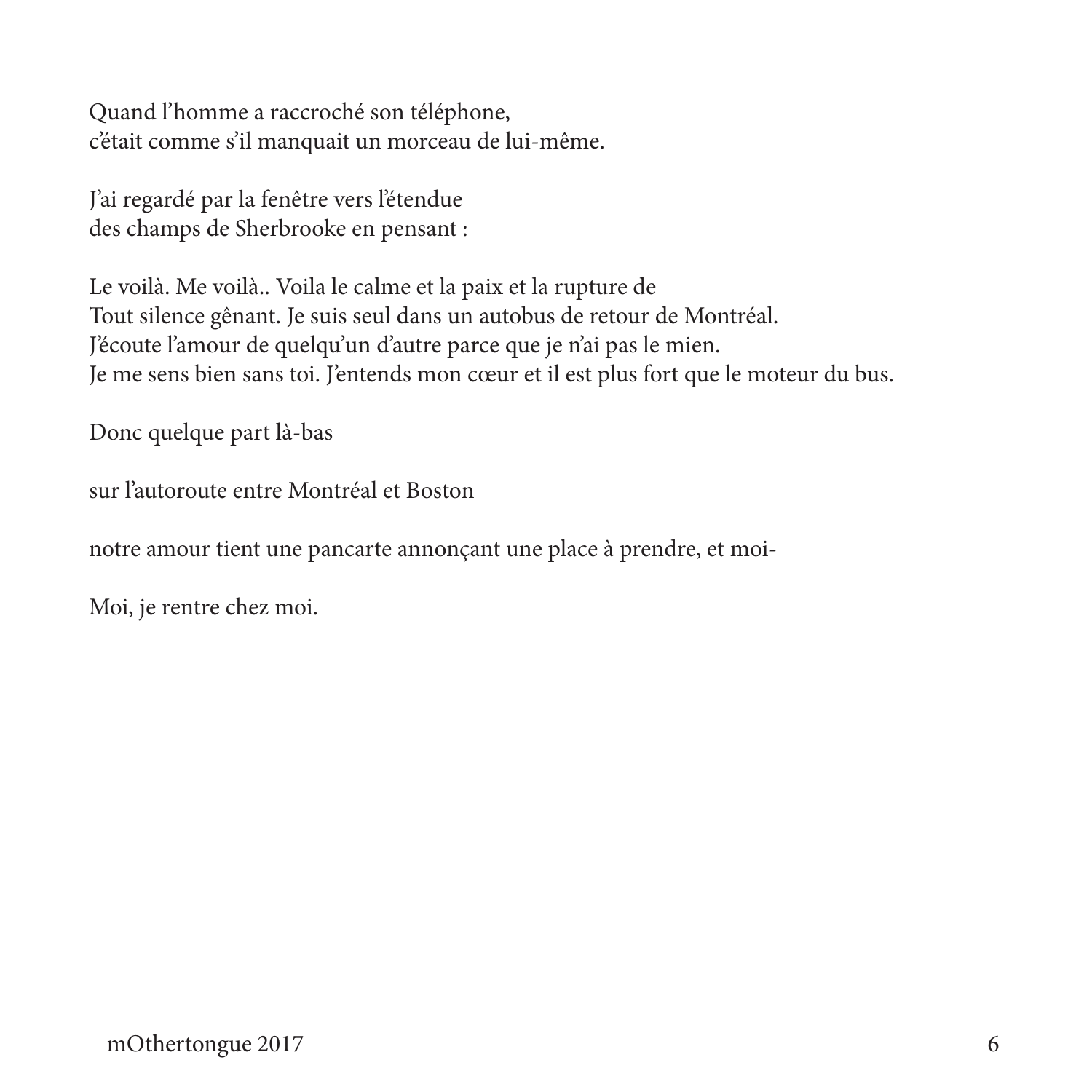Quand l'homme a raccroché son téléphone, c'était comme s'il manquait un morceau de lui-même.

J'ai regardé par la fenêtre vers l'étendue des champs de Sherbrooke en pensant :

Le voilà. Me voilà.. Voila le calme et la paix et la rupture de Tout silence gênant. Je suis seul dans un autobus de retour de Montréal. J'écoute l'amour de quelqu'un d'autre parce que je n'ai pas le mien. Je me sens bien sans toi. J'entends mon cœur et il est plus fort que le moteur du bus.

Donc quelque part là-bas

sur l'autoroute entre Montréal et Boston

notre amour tient une pancarte annonçant une place à prendre, et moi-

Moi, je rentre chez moi.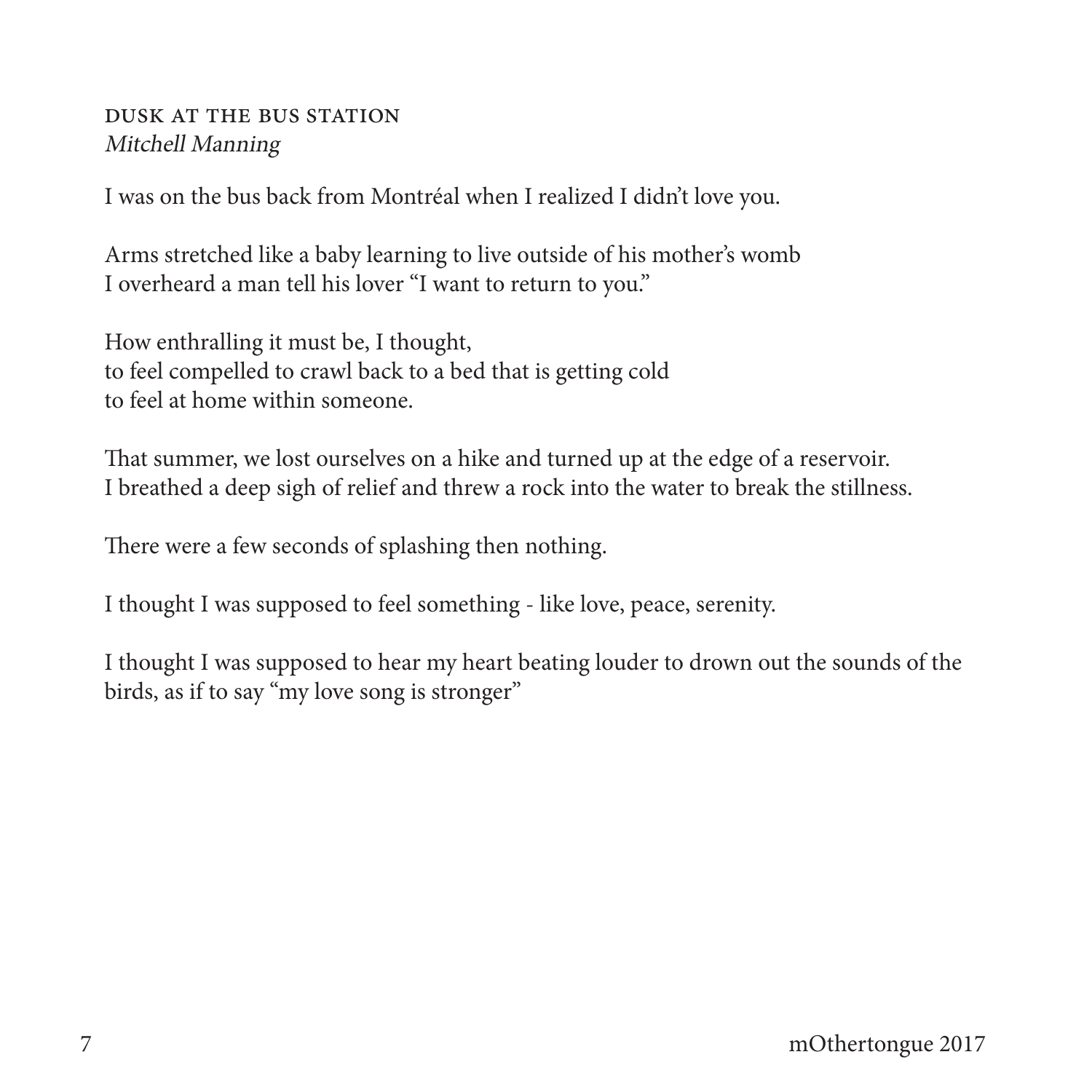#### **DUSK AT THE BUS STATION** Mitchell Manning

I was on the bus back from Montréal when I realized I didn't love you.

Arms stretched like a baby learning to live outside of his mother's womb I overheard a man tell his lover "I want to return to you."

How enthralling it must be, I thought, to feel compelled to crawl back to a bed that is getting cold to feel at home within someone.

That summer, we lost ourselves on a hike and turned up at the edge of a reservoir. I breathed a deep sigh of relief and threw a rock into the water to break the stillness.

There were a few seconds of splashing then nothing.

I thought I was supposed to feel something - like love, peace, serenity.

I thought I was supposed to hear my heart beating louder to drown out the sounds of the birds, as if to say "my love song is stronger"